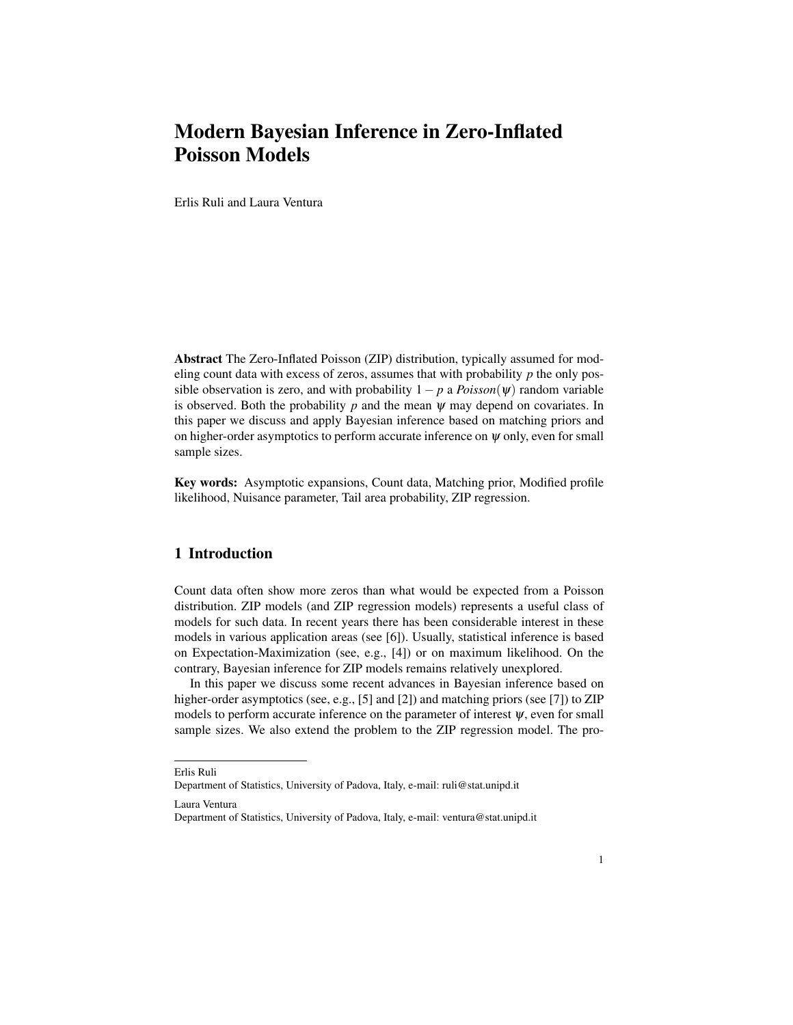# Modern Bayesian Inference in Zero-Inflated Poisson Models

Erlis Ruli and Laura Ventura

Abstract The Zero-Inflated Poisson (ZIP) distribution, typically assumed for modeling count data with excess of zeros, assumes that with probability *p* the only possible observation is zero, and with probability  $1-p$  a  $Poisson(\psi)$  random variable is observed. Both the probability  $p$  and the mean  $\psi$  may depend on covariates. In this paper we discuss and apply Bayesian inference based on matching priors and on higher-order asymptotics to perform accurate inference on  $\psi$  only, even for small sample sizes.

Key words: Asymptotic expansions, Count data, Matching prior, Modified profile likelihood, Nuisance parameter, Tail area probability, ZIP regression.

## 1 Introduction

Count data often show more zeros than what would be expected from a Poisson distribution. ZIP models (and ZIP regression models) represents a useful class of models for such data. In recent years there has been considerable interest in these models in various application areas (see [6]). Usually, statistical inference is based on Expectation-Maximization (see, e.g., [4]) or on maximum likelihood. On the contrary, Bayesian inference for ZIP models remains relatively unexplored.

In this paper we discuss some recent advances in Bayesian inference based on higher-order asymptotics (see, e.g., [5] and [2]) and matching priors (see [7]) to ZIP models to perform accurate inference on the parameter of interest  $\psi$ , even for small sample sizes. We also extend the problem to the ZIP regression model. The pro-

Laura Ventura

Erlis Ruli

Department of Statistics, University of Padova, Italy, e-mail: ruli@stat.unipd.it

Department of Statistics, University of Padova, Italy, e-mail: ventura@stat.unipd.it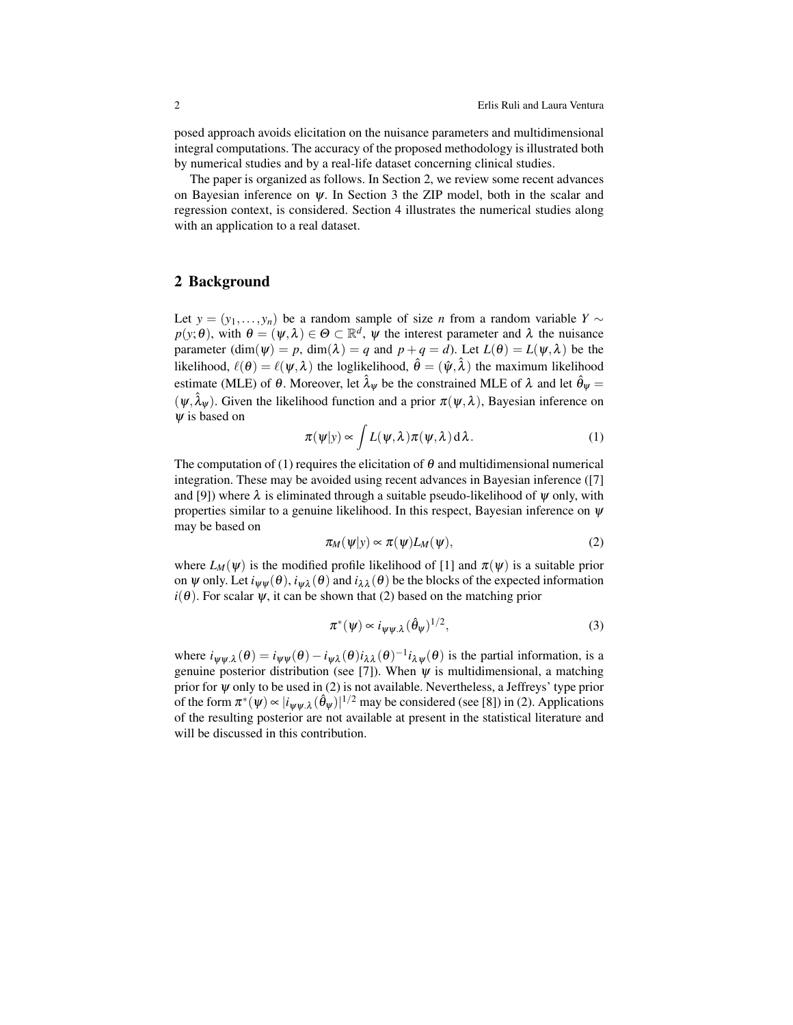posed approach avoids elicitation on the nuisance parameters and multidimensional integral computations. The accuracy of the proposed methodology is illustrated both by numerical studies and by a real-life dataset concerning clinical studies.

The paper is organized as follows. In Section 2, we review some recent advances on Bayesian inference on  $\psi$ . In Section 3 the ZIP model, both in the scalar and regression context, is considered. Section 4 illustrates the numerical studies along with an application to a real dataset.

### 2 Background

Let  $y = (y_1, \ldots, y_n)$  be a random sample of size *n* from a random variable  $Y \sim$  $p(y; \theta)$ , with  $\theta = (\psi, \lambda) \in \Theta \subset \mathbb{R}^d$ ,  $\psi$  the interest parameter and  $\lambda$  the nuisance parameter  $(\dim(\psi) = p, \dim(\lambda) = q$  and  $p + q = d)$ . Let  $L(\theta) = L(\psi, \lambda)$  be the likelihood,  $\ell(\theta) = \ell(\psi, \lambda)$  the loglikelihood,  $\hat{\theta} = (\hat{\psi}, \hat{\lambda})$  the maximum likelihood estimate (MLE) of  $\theta$ . Moreover, let  $\hat{\lambda}_{\psi}$  be the constrained MLE of  $\lambda$  and let  $\hat{\theta}_{\psi}$  =  $(\psi, \hat{\lambda}_{\psi})$ . Given the likelihood function and a prior  $\pi(\psi, \lambda)$ , Bayesian inference on  $\psi$  is based on

$$
\pi(\psi|y) \propto \int L(\psi, \lambda) \pi(\psi, \lambda) d\lambda.
$$
 (1)

The computation of (1) requires the elicitation of  $\theta$  and multidimensional numerical integration. These may be avoided using recent advances in Bayesian inference ([7] and [9]) where  $\lambda$  is eliminated through a suitable pseudo-likelihood of  $\psi$  only, with properties similar to a genuine likelihood. In this respect, Bayesian inference on  $\psi$ may be based on

$$
\pi_M(\psi|y) \propto \pi(\psi)L_M(\psi),\tag{2}
$$

where  $L_M(\psi)$  is the modified profile likelihood of [1] and  $\pi(\psi)$  is a suitable prior on  $\psi$  only. Let  $i_{\psi\psi}(\theta)$ ,  $i_{\psi\lambda}(\theta)$  and  $i_{\lambda\lambda}(\theta)$  be the blocks of the expected information  $i(\theta)$ . For scalar  $\psi$ , it can be shown that (2) based on the matching prior

$$
\pi^*(\psi) \propto i_{\psi\psi,\lambda} (\hat{\theta}_\psi)^{1/2},\tag{3}
$$

where  $i_{\psi\psi,\lambda}(\theta) = i_{\psi\psi}(\theta) - i_{\psi\lambda}(\theta)i_{\lambda\lambda}(\theta)^{-1}i_{\lambda\psi}(\theta)$  is the partial information, is a genuine posterior distribution (see [7]). When  $\psi$  is multidimensional, a matching prior for  $\psi$  only to be used in (2) is not available. Nevertheless, a Jeffreys' type prior of the form  $\pi^*(\psi) \propto |i_{\psi\psi} \hat{\lambda}(\hat{\theta}_{\psi})|^{1/2}$  may be considered (see [8]) in (2). Applications of the resulting posterior are not available at present in the statistical literature and will be discussed in this contribution.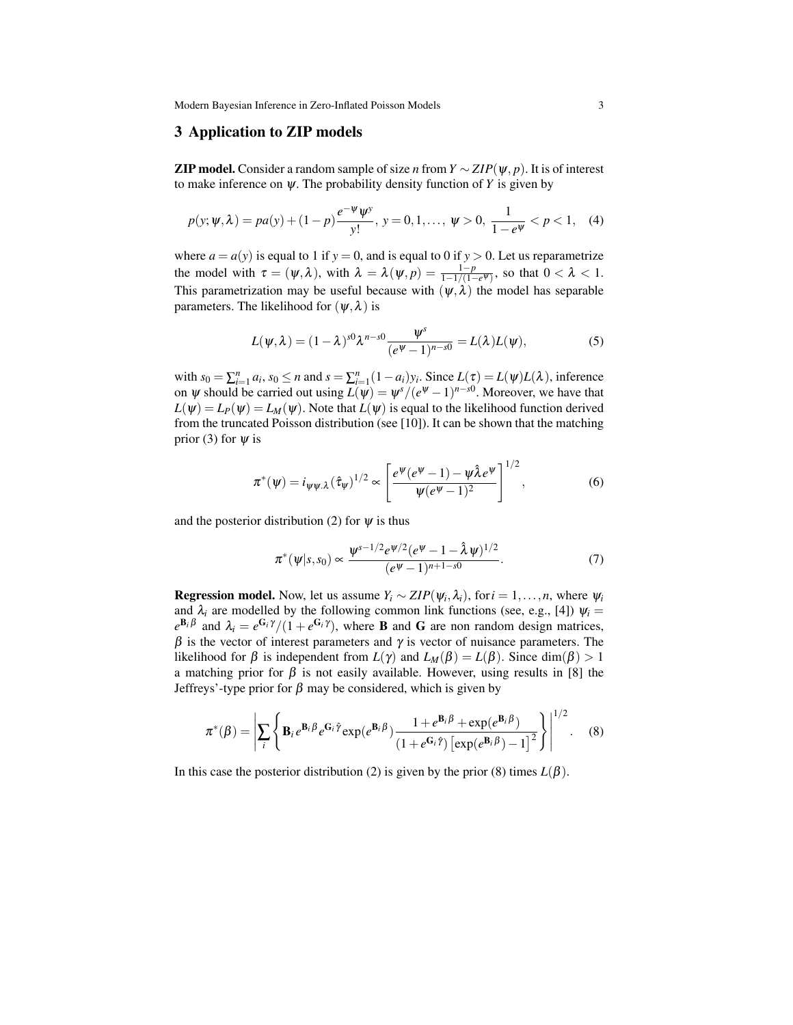Modern Bayesian Inference in Zero-Inflated Poisson Models 3

## 3 Application to ZIP models

**ZIP model.** Consider a random sample of size *n* from  $Y \sim ZIP(\psi, p)$ . It is of interest to make inference on  $\psi$ . The probability density function of *Y* is given by

$$
p(y; \psi, \lambda) = pa(y) + (1 - p) \frac{e^{-\psi} \psi^y}{y!}, \ y = 0, 1, \dots, \ \psi > 0, \ \frac{1}{1 - e^{\psi}} < p < 1, \tag{4}
$$

where  $a = a(y)$  is equal to 1 if  $y = 0$ , and is equal to 0 if  $y > 0$ . Let us reparametrize the model with  $\tau = (\psi, \lambda)$ , with  $\lambda = \lambda(\psi, p) = \frac{1-p}{1-\frac{1}{1-(1-e^{\psi})}}$ , so that  $0 < \lambda < 1$ . This parametrization may be useful because with  $(\psi, \lambda)$  the model has separable parameters. The likelihood for  $(\psi, \lambda)$  is

$$
L(\psi,\lambda)=(1-\lambda)^{s0}\lambda^{n-s0}\frac{\psi^s}{(e^{\psi}-1)^{n-s0}}=L(\lambda)L(\psi),
$$
\n(5)

with  $s_0 = \sum_{i=1}^n a_i$ ,  $s_0 \le n$  and  $s = \sum_{i=1}^n (1 - a_i) y_i$ . Since  $L(\tau) = L(\psi)L(\lambda)$ , inference on  $\psi$  should be carried out using  $L(\psi) = \psi^{s}/(e^{\psi} - 1)^{n - s_0}$ . Moreover, we have that  $L(\psi) = L_P(\psi) = L_M(\psi)$ . Note that  $L(\psi)$  is equal to the likelihood function derived from the truncated Poisson distribution (see [10]). It can be shown that the matching prior (3) for  $\psi$  is

$$
\pi^*(\psi) = i_{\psi\psi,\lambda}(\hat{\tau}_{\psi})^{1/2} \propto \left[\frac{e^{\psi}(e^{\psi}-1) - \psi \hat{\lambda} e^{\psi}}{\psi(e^{\psi}-1)^2}\right]^{1/2}, \tag{6}
$$

and the posterior distribution (2) for  $\psi$  is thus

$$
\pi^*(\psi|s,s_0) \propto \frac{\psi^{s-1/2} e^{\psi/2} (e^{\psi} - 1 - \hat{\lambda} \psi)^{1/2}}{(e^{\psi} - 1)^{n+1-s_0}}.
$$
\n(7)

**Regression model.** Now, let us assume  $Y_i \sim ZIP(\psi_i, \lambda_i)$ , for  $i = 1, \ldots, n$ , where  $\psi_i$ and  $\lambda_i$  are modelled by the following common link functions (see, e.g., [4])  $\psi_i =$  $e^{i\mathbf{B}_i\beta}$  and  $\lambda_i = e^{i\mathbf{G}_i\gamma}/(1 + e^{i\mathbf{G}_i\gamma})$ , where **B** and **G** are non random design matrices,  $β$  is the vector of interest parameters and  $γ$  is vector of nuisance parameters. The likelihood for  $\beta$  is independent from  $L(\gamma)$  and  $L_M(\beta) = L(\beta)$ . Since dim( $\beta$ ) > 1 a matching prior for  $\beta$  is not easily available. However, using results in [8] the Jeffreys'-type prior for β may be considered, which is given by

$$
\pi^*(\beta) = \left| \sum_i \left\{ \mathbf{B}_i e^{\mathbf{B}_i \beta} e^{\mathbf{G}_i \hat{\gamma}} \exp(e^{\mathbf{B}_i \beta}) \frac{1 + e^{\mathbf{B}_i \beta} + \exp(e^{\mathbf{B}_i \beta})}{(1 + e^{\mathbf{G}_i \hat{\gamma}}) \left[ \exp(e^{\mathbf{B}_i \beta}) - 1 \right]^2} \right\} \right|^{1/2}.
$$
 (8)

In this case the posterior distribution (2) is given by the prior (8) times  $L(\beta)$ .